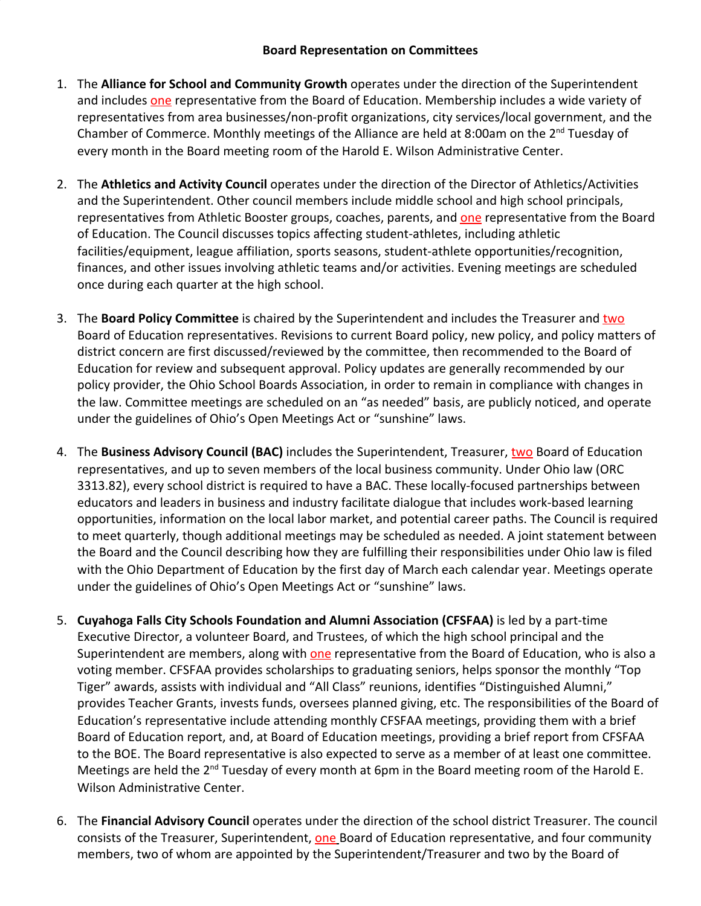## **Board Representation on Committees**

- 1. The **Alliance for School and Community Growth** operates under the direction of the Superintendent and includes one representative from the Board of Education. Membership includes a wide variety of representatives from area businesses/non-profit organizations, city services/local government, and the Chamber of Commerce. Monthly meetings of the Alliance are held at 8:00am on the 2<sup>nd</sup> Tuesday of every month in the Board meeting room of the Harold E. Wilson Administrative Center.
- 2. The **Athletics and Activity Council** operates under the direction of the Director of Athletics/Activities and the Superintendent. Other council members include middle school and high school principals, representatives from Athletic Booster groups, coaches, parents, and one representative from the Board of Education. The Council discusses topics affecting student-athletes, including athletic facilities/equipment, league affiliation, sports seasons, student-athlete opportunities/recognition, finances, and other issues involving athletic teams and/or activities. Evening meetings are scheduled once during each quarter at the high school.
- 3. The **Board Policy Committee** is chaired by the Superintendent and includes the Treasurer and two Board of Education representatives. Revisions to current Board policy, new policy, and policy matters of district concern are first discussed/reviewed by the committee, then recommended to the Board of Education for review and subsequent approval. Policy updates are generally recommended by our policy provider, the Ohio School Boards Association, in order to remain in compliance with changes in the law. Committee meetings are scheduled on an "as needed" basis, are publicly noticed, and operate under the guidelines of Ohio's Open Meetings Act or "sunshine" laws.
- 4. The **Business Advisory Council (BAC)** includes the Superintendent, Treasurer, two Board of Education representatives, and up to seven members of the local business community. Under Ohio law (ORC 3313.82), every school district is required to have a BAC. These locally-focused partnerships between educators and leaders in business and industry facilitate dialogue that includes work-based learning opportunities, information on the local labor market, and potential career paths. The Council is required to meet quarterly, though additional meetings may be scheduled as needed. A joint statement between the Board and the Council describing how they are fulfilling their responsibilities under Ohio law is filed with the Ohio Department of Education by the first day of March each calendar year. Meetings operate under the guidelines of Ohio's Open Meetings Act or "sunshine" laws.
- 5. **Cuyahoga Falls City Schools Foundation and Alumni Association (CFSFAA)** is led by a part-time Executive Director, a volunteer Board, and Trustees, of which the high school principal and the Superintendent are members, along with one representative from the Board of Education, who is also a voting member. CFSFAA provides scholarships to graduating seniors, helps sponsor the monthly "Top Tiger" awards, assists with individual and "All Class" reunions, identifies "Distinguished Alumni," provides Teacher Grants, invests funds, oversees planned giving, etc. The responsibilities of the Board of Education's representative include attending monthly CFSFAA meetings, providing them with a brief Board of Education report, and, at Board of Education meetings, providing a brief report from CFSFAA to the BOE. The Board representative is also expected to serve as a member of at least one committee. Meetings are held the 2<sup>nd</sup> Tuesday of every month at 6pm in the Board meeting room of the Harold E. Wilson Administrative Center.
- 6. The **Financial Advisory Council** operates under the direction of the school district Treasurer. The council consists of the Treasurer, Superintendent, one Board of Education representative, and four community members, two of whom are appointed by the Superintendent/Treasurer and two by the Board of